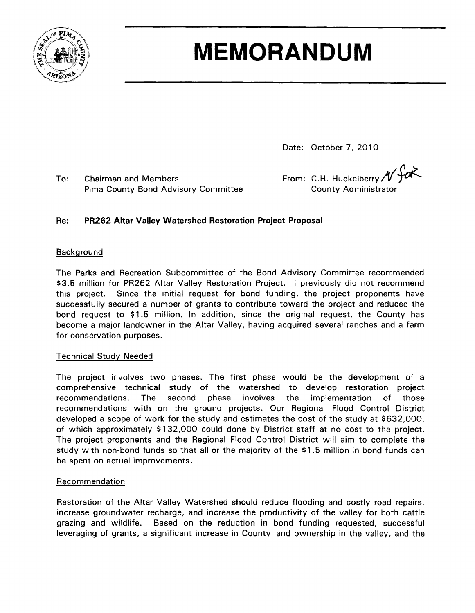

# **MEMORANDUM**

Date: October 7, 2010

To: Chairman and Members **From: C.H. Huckelberry** */f*<br>Pima County Bond Advisory Committee County Administrator

## Re: **PR262 Altar Valley Watershed Restoration Project Proposal**

### Background

The Parks and Recreation Subcommittee of the Bond Advisory Committee recommended \$3.5 million for PR262 Altar Valley Restoration Project. I previously did not recommend this project. Since the initial request for bond funding, the project proponents have successfully secured a number of grants to contribute toward the project and reduced the bond request to \$1.5 million. In addition, since the original request, the County has become a major landowner in the Altar Valley, having acquired several ranches and a farm for conservation purposes.

#### Technical Study Needed

The project involves two phases. The first phase would be the development of a comprehensive technical study of the watershed to develop restoration project recommendations. The second phase involves the implementation of those recommendations with on the ground projects. Our Regional Flood Control District developed a scope of work for the study and estimates the cost of the study at \$632,000, of which approximately \$132,000 could done by District staff at no cost to the project. The project proponents and the Regional Flood Control District will aim to complete the study with non-bond funds so that all or the majority of the \$1.5 million in bond funds can be spent on actual improvements.

#### Recommendation

Restoration of the Altar Valley Watershed should reduce flooding and costly road repairs, increase groundwater recharge, and increase the productivity of the valley for both cattle grazing and wildlife. Based on the reduction in bond funding requested, successful leveraging of grants, a significant increase in County land ownership in the valley, and the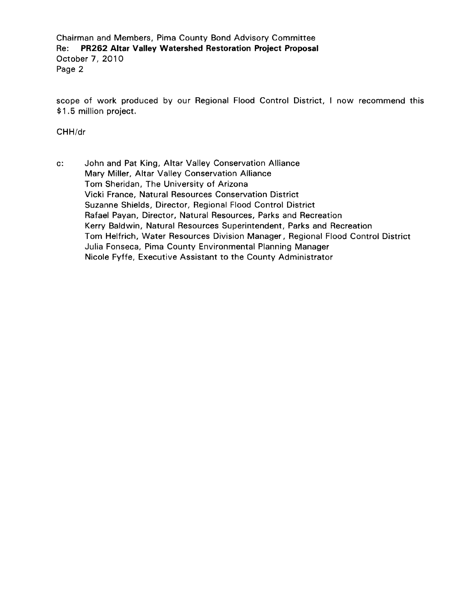Chairman and Members, Pima County Bond Advisory Committee Re: **PR262 Altar Valley Watershed Restoration Project Proposal**  October 7, 2010 Page 2

scope of work produced by our Regional Flood Control District, I now recommend this \$1.5 million project.

CHH/dr

c: John and Pat King, Altar Valley Conservation Alliance Mary Miller, Altar Valley Conservation Alliance Tom Sheridan, The University of Arizona Vicki France, Natural Resources Conservation District Suzanne Shields, Director, Regional Flood Control District Rafael Payan, Director, Natural Resources, Parks and Recreation Kerry Baldwin, Natural Resources Superintendent, Parks and Recreation Tom Helfrich, Water Resources Division Manager, Regional Flood Control District Julia Fonseca, Pima County Environmental Planning Manager Nicole Fyffe, Executive Assistant to the County Administrator